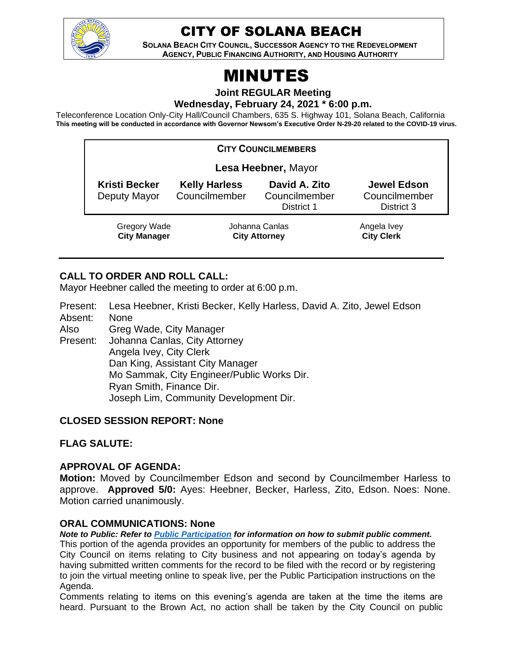

# CITY OF SOLANA BEACH

**SOLANA BEACH CITY COUNCIL, SUCCESSOR AGENCY TO THE REDEVELOPMENT AGENCY, PUBLIC FINANCING AUTHORITY, AND HOUSING AUTHORITY** 

# MINUTES

**Joint REGULAR Meeting**

**Wednesday, February 24, 2021 \* 6:00 p.m.** 

Teleconference Location Only-City Hall/Council Chambers, 635 S. Highway 101, Solana Beach, California **This meeting will be conducted in accordance with Governor Newsom's Executive Order N-29-20 related to the COVID-19 virus.**

| <b>CITY COUNCILMEMBERS</b>           |                                        |                                              |                                                   |
|--------------------------------------|----------------------------------------|----------------------------------------------|---------------------------------------------------|
| Lesa Heebner, Mayor                  |                                        |                                              |                                                   |
| <b>Kristi Becker</b><br>Deputy Mayor | <b>Kelly Harless</b><br>Councilmember  | David A. Zito<br>Councilmember<br>District 1 | <b>Jewel Edson</b><br>Councilmember<br>District 3 |
| Gregory Wade<br><b>City Manager</b>  | Johanna Canlas<br><b>City Attorney</b> |                                              | Angela Ivey<br><b>City Clerk</b>                  |

# **CALL TO ORDER AND ROLL CALL:**

Mayor Heebner called the meeting to order at 6:00 p.m.

Present: Lesa Heebner, Kristi Becker, Kelly Harless, David A. Zito, Jewel Edson Absent: None

Also Greg Wade, City Manager

Present: Johanna Canlas, City Attorney Angela Ivey, City Clerk Dan King, Assistant City Manager Mo Sammak, City Engineer/Public Works Dir. Ryan Smith, Finance Dir. Joseph Lim, Community Development Dir.

#### **CLOSED SESSION REPORT: None**

**FLAG SALUTE:**

#### **APPROVAL OF AGENDA:**

**Motion:** Moved by Councilmember Edson and second by Councilmember Harless to approve. **Approved 5/0:** Ayes: Heebner, Becker, Harless, Zito, Edson. Noes: None. Motion carried unanimously.

#### **ORAL COMMUNICATIONS: None**

*Note to Public: Refer to Public Participation for information on how to submit public comment.*  This portion of the agenda provides an opportunity for members of the public to address the City Council on items relating to City business and not appearing on today's agenda by having submitted written comments for the record to be filed with the record or by registering to join the virtual meeting online to speak live, per the Public Participation instructions on the Agenda.

Comments relating to items on this evening's agenda are taken at the time the items are heard. Pursuant to the Brown Act, no action shall be taken by the City Council on public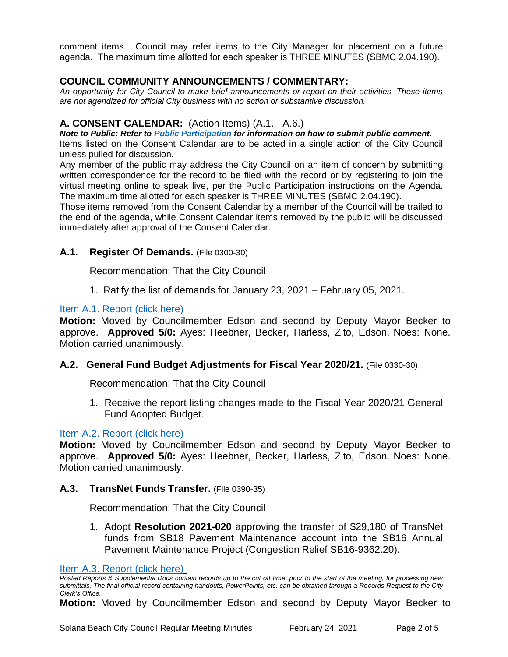comment items. Council may refer items to the City Manager for placement on a future agenda. The maximum time allotted for each speaker is THREE MINUTES (SBMC 2.04.190).

### **COUNCIL COMMUNITY ANNOUNCEMENTS / COMMENTARY:**

*An opportunity for City Council to make brief announcements or report on their activities. These items are not agendized for official City business with no action or substantive discussion.* 

#### **A. CONSENT CALENDAR:** (Action Items) (A.1. - A.6.)

*Note to Public: Refer to Public Participation for information on how to submit public comment.* 

Items listed on the Consent Calendar are to be acted in a single action of the City Council unless pulled for discussion.

Any member of the public may address the City Council on an item of concern by submitting written correspondence for the record to be filed with the record or by registering to join the virtual meeting online to speak live, per the Public Participation instructions on the Agenda. The maximum time allotted for each speaker is THREE MINUTES (SBMC 2.04.190).

Those items removed from the Consent Calendar by a member of the Council will be trailed to the end of the agenda, while Consent Calendar items removed by the public will be discussed immediately after approval of the Consent Calendar.

#### **A.1. Register Of Demands.** (File 0300-30)

Recommendation: That the City Council

1. Ratify the list of demands for January 23, 2021 – February 05, 2021.

[Item A.1. Report \(click here\)](https://solanabeach.govoffice3.com/vertical/Sites/%7B840804C2-F869-4904-9AE3-720581350CE7%7D/uploads/Item_A.1._Report_(click_here)_2-24-21-O.pdf)

**Motion:** Moved by Councilmember Edson and second by Deputy Mayor Becker to approve. **Approved 5/0:** Ayes: Heebner, Becker, Harless, Zito, Edson. Noes: None. Motion carried unanimously.

#### **A.2. General Fund Budget Adjustments for Fiscal Year 2020/21.** (File 0330-30)

Recommendation: That the City Council

1. Receive the report listing changes made to the Fiscal Year 2020/21 General Fund Adopted Budget.

#### [Item A.2. Report \(click here\)](https://solanabeach.govoffice3.com/vertical/Sites/%7B840804C2-F869-4904-9AE3-720581350CE7%7D/uploads/Item_A.2._Report_(click_here)_2-24-21-O.pdf)

**Motion:** Moved by Councilmember Edson and second by Deputy Mayor Becker to approve. **Approved 5/0:** Ayes: Heebner, Becker, Harless, Zito, Edson. Noes: None. Motion carried unanimously.

#### **A.3. TransNet Funds Transfer.** (File 0390-35)

Recommendation: That the City Council

1. Adopt **Resolution 2021-020** approving the transfer of \$29,180 of TransNet funds from SB18 Pavement Maintenance account into the SB16 Annual Pavement Maintenance Project (Congestion Relief SB16-9362.20).

*Posted Reports & Supplemental Docs contain records up to the cut off time, prior to the start of the meeting, for processing new submittals. The final official record containing handouts, PowerPoints, etc. can be obtained through a Records Request to the City Clerk's Office.*

**Motion:** Moved by Councilmember Edson and second by Deputy Mayor Becker to

[Item A.3. Report \(click here\)](https://solanabeach.govoffice3.com/vertical/Sites/%7B840804C2-F869-4904-9AE3-720581350CE7%7D/uploads/Item_A.3._Report_(click_here)_2-24-21-O.pdf)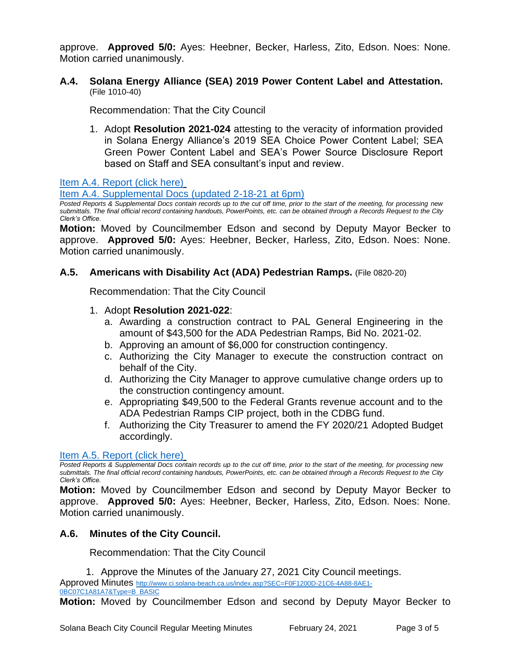approve. **Approved 5/0:** Ayes: Heebner, Becker, Harless, Zito, Edson. Noes: None. Motion carried unanimously.

**A.4. Solana Energy Alliance (SEA) 2019 Power Content Label and Attestation.**  (File 1010-40)

Recommendation: That the City Council

1. Adopt **Resolution 2021-024** attesting to the veracity of information provided in Solana Energy Alliance's 2019 SEA Choice Power Content Label; SEA Green Power Content Label and SEA's Power Source Disclosure Report based on Staff and SEA consultant's input and review.

[Item A.4. Report \(click here\)](https://solanabeach.govoffice3.com/vertical/Sites/%7B840804C2-F869-4904-9AE3-720581350CE7%7D/uploads/Item_A.4._Report_(click_here)_2-24-21-O.pdf)

[Item A.4. Supplemental Docs](https://solanabeach.govoffice3.com/vertical/Sites/%7B840804C2-F869-4904-9AE3-720581350CE7%7D/uploads/Item_A.4._Supplemental_Docs_(2-18-21)_-_O.pdf) (updated 2-18-21 at 6pm)

*Posted Reports & Supplemental Docs contain records up to the cut off time, prior to the start of the meeting, for processing new submittals. The final official record containing handouts, PowerPoints, etc. can be obtained through a Records Request to the City Clerk's Office.*

**Motion:** Moved by Councilmember Edson and second by Deputy Mayor Becker to approve. **Approved 5/0:** Ayes: Heebner, Becker, Harless, Zito, Edson. Noes: None. Motion carried unanimously.

#### **A.5. Americans with Disability Act (ADA) Pedestrian Ramps.** (File 0820-20)

Recommendation: That the City Council

#### 1. Adopt **Resolution 2021-022**:

- a. Awarding a construction contract to PAL General Engineering in the amount of \$43,500 for the ADA Pedestrian Ramps, Bid No. 2021-02.
- b. Approving an amount of \$6,000 for construction contingency.
- c. Authorizing the City Manager to execute the construction contract on behalf of the City.
- d. Authorizing the City Manager to approve cumulative change orders up to the construction contingency amount.
- e. Appropriating \$49,500 to the Federal Grants revenue account and to the ADA Pedestrian Ramps CIP project, both in the CDBG fund.
- f. Authorizing the City Treasurer to amend the FY 2020/21 Adopted Budget accordingly.

#### [Item A.5. Report \(click here\)](https://solanabeach.govoffice3.com/vertical/Sites/%7B840804C2-F869-4904-9AE3-720581350CE7%7D/uploads/Item_A.5._Report_(click_here)_2-24-21-O.pdf)

*Posted Reports & Supplemental Docs contain records up to the cut off time, prior to the start of the meeting, for processing new submittals. The final official record containing handouts, PowerPoints, etc. can be obtained through a Records Request to the City Clerk's Office.*

**Motion:** Moved by Councilmember Edson and second by Deputy Mayor Becker to approve. **Approved 5/0:** Ayes: Heebner, Becker, Harless, Zito, Edson. Noes: None. Motion carried unanimously.

#### **A.6. Minutes of the City Council.**

Recommendation: That the City Council

1. Approve the Minutes of the January 27, 2021 City Council meetings.

Approved Minutes [http://www.ci.solana-beach.ca.us/index.asp?SEC=F0F1200D-21C6-4A88-8AE1-](http://www.ci.solana-beach.ca.us/index.asp?SEC=F0F1200D-21C6-4A88-8AE1-0BC07C1A81A7&Type=B_BASIC)

**Motion:** Moved by Councilmember Edson and second by Deputy Mayor Becker to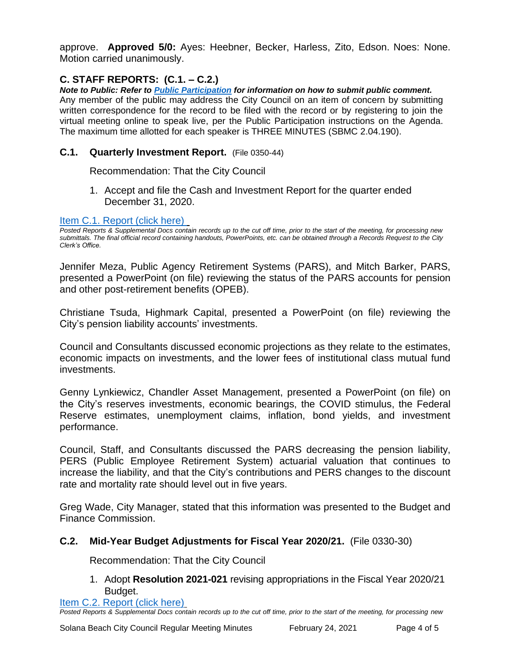approve. **Approved 5/0:** Ayes: Heebner, Becker, Harless, Zito, Edson. Noes: None. Motion carried unanimously.

# **C. STAFF REPORTS: (C.1. – C.2.)**

*Note to Public: Refer to Public Participation for information on how to submit public comment.*  Any member of the public may address the City Council on an item of concern by submitting written correspondence for the record to be filed with the record or by registering to join the virtual meeting online to speak live, per the Public Participation instructions on the Agenda. The maximum time allotted for each speaker is THREE MINUTES (SBMC 2.04.190).

## **C.1. Quarterly Investment Report.** (File 0350-44)

Recommendation: That the City Council

1. Accept and file the Cash and Investment Report for the quarter ended December 31, 2020.

#### [Item C.1. Report \(click here\)](https://solanabeach.govoffice3.com/vertical/Sites/%7B840804C2-F869-4904-9AE3-720581350CE7%7D/uploads/Item_C.1._Report_(click_here)_2-24-21-O.pdf)

*Posted Reports & Supplemental Docs contain records up to the cut off time, prior to the start of the meeting, for processing new submittals. The final official record containing handouts, PowerPoints, etc. can be obtained through a Records Request to the City Clerk's Office.*

Jennifer Meza, Public Agency Retirement Systems (PARS), and Mitch Barker, PARS, presented a PowerPoint (on file) reviewing the status of the PARS accounts for pension and other post-retirement benefits (OPEB).

Christiane Tsuda, Highmark Capital, presented a PowerPoint (on file) reviewing the City's pension liability accounts' investments.

Council and Consultants discussed economic projections as they relate to the estimates, economic impacts on investments, and the lower fees of institutional class mutual fund investments.

Genny Lynkiewicz, Chandler Asset Management, presented a PowerPoint (on file) on the City's reserves investments, economic bearings, the COVID stimulus, the Federal Reserve estimates, unemployment claims, inflation, bond yields, and investment performance.

Council, Staff, and Consultants discussed the PARS decreasing the pension liability, PERS (Public Employee Retirement System) actuarial valuation that continues to increase the liability, and that the City's contributions and PERS changes to the discount rate and mortality rate should level out in five years.

Greg Wade, City Manager, stated that this information was presented to the Budget and Finance Commission.

# **C.2. Mid-Year Budget Adjustments for Fiscal Year 2020/21.** (File 0330-30)

Recommendation: That the City Council

1. Adopt **Resolution 2021-021** revising appropriations in the Fiscal Year 2020/21 Budget.

[Item C.2. Report \(click here\)](https://solanabeach.govoffice3.com/vertical/Sites/%7B840804C2-F869-4904-9AE3-720581350CE7%7D/uploads/Item_C.2._Report_(click_here)_2-24-21-O.pdf) *Posted Reports & Supplemental Docs contain records up to the cut off time, prior to the start of the meeting, for processing new*